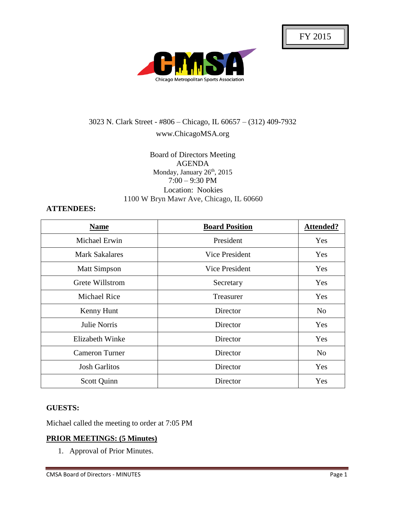

# 3023 N. Clark Street - #806 – Chicago, IL 60657 – (312) 409-7932 www.ChicagoMSA.org

# Board of Directors Meeting AGENDA Monday, January 26<sup>th</sup>, 2015 7:00 – 9:30 PM Location: Nookies 1100 W Bryn Mawr Ave, Chicago, IL 60660

# **ATTENDEES:**

| <b>Name</b>           | <b>Board Position</b> | Attended?      |
|-----------------------|-----------------------|----------------|
| Michael Erwin         | President             | Yes            |
| <b>Mark Sakalares</b> | Vice President        | Yes            |
| <b>Matt Simpson</b>   | <b>Vice President</b> | Yes            |
| Grete Willstrom       | Secretary             | Yes            |
| <b>Michael Rice</b>   | Treasurer             | Yes            |
| Kenny Hunt            | Director              | N <sub>0</sub> |
| Julie Norris          | Director              | Yes            |
| Elizabeth Winke       | Director              | Yes            |
| <b>Cameron Turner</b> | Director              | N <sub>o</sub> |
| <b>Josh Garlitos</b>  | Director              | Yes            |
| Scott Quinn           | Director              | Yes            |

# **GUESTS:**

Michael called the meeting to order at 7:05 PM

# **PRIOR MEETINGS: (5 Minutes)**

1. Approval of Prior Minutes.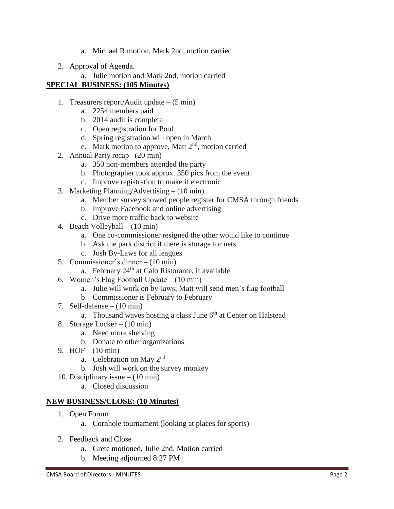- a. Michael R motion, Mark 2nd, motion carried
- 2. Approval of Agenda.

#### a. Julie motion and Mark 2nd, motion carried **SPECIAL BUSINESS: (105 Minutes)**

- 1. Treasurers report/Audit update  $-$  (5 min)
	- a. 2254 members paid
	- b. 2014 audit is complete
	- c. Open registration for Pool
	- d. Spring registration will open in March
	- e. Mark motion to approve, Matt  $2<sup>nd</sup>$ , motion carried
- 2. Annual Party recap– (20 min)
	- a. 350 non-members attended the party
	- b. Photographer took approx. 350 pics from the event
	- c. Improve registration to make it electronic
- 3. Marketing Planning/Advertising (10 min)
	- a. Member survey showed people register for CMSA through friends
	- b. Improve Facebook and online advertising
	- c. Drive more traffic back to website
- 4. Beach Volleyball (10 min)
	- a. One co-commissioner resigned the other would like to continue
	- b. Ask the park district if there is storage for nets
	- c. Josh By-Laws for all leagues
- 5. Commissioner's dinner (10 min)
	- a. February  $24<sup>th</sup>$  at Calo Ristorante, if available
- 6. Women's Flag Football Update (10 min)
	- a. Julie will work on by-laws; Matt will send men's flag football
	- b. Commissioner is February to February
- 7. Self-defense  $(10 \text{ min})$ 
	- a. Thousand waves hosting a class June  $6<sup>th</sup>$  at Center on Halstead
- 8. Storage Locker (10 min)
	- a. Need more shelving
	- b. Donate to other organizations
- 9. HOF (10 min)
	- a. Celebration on May 2nd
	- b. Josh will work on the survey monkey
- 10. Disciplinary issue (10 min)
	- a. Closed discussion

# **NEW BUSINESS/CLOSE: (10 Minutes)**

- 1. Open Forum
	- a. Cornhole tournament (looking at places for sports)
- 2. Feedback and Close
	- a. Grete motioned, Julie 2nd. Motion carried
	- b. Meeting adjourned 8:27 PM